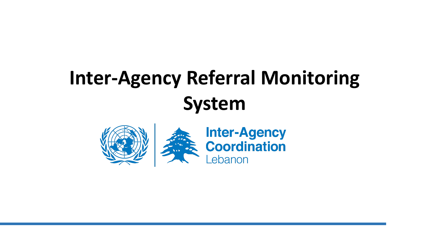# **Inter-Agency Referral Monitoring System**

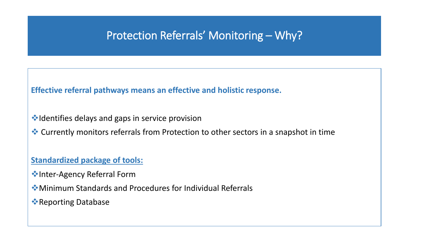### Protection Referrals' Monitoring – Why?

**Effective referral pathways means an effective and holistic response.**

- **V**•Identifies delays and gaps in service provision
- Currently monitors referrals from Protection to other sectors in a snapshot in time

#### **Standardized package of tools:**

- **Manuel Agency Referral Form**
- Minimum Standards and Procedures for Individual Referrals
- **Execution Properting Database**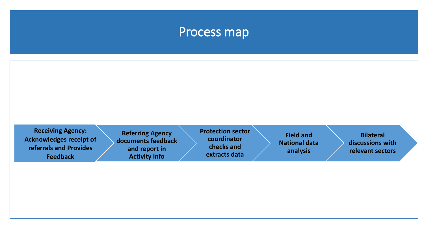## Process map

| <b>Receiving Agency:</b><br><b>Acknowledges receipt of</b><br>referrals and Provides<br><b>Feedback</b> | <b>Referring Agency</b><br>documents feedback<br>and report in<br><b>Activity Info</b> | <b>Protection sector</b><br>coordinator<br>checks and<br>extracts data | <b>Field and</b><br><b>National data</b><br>analysis | <b>Bilateral</b><br>discussions with<br>relevant sectors |
|---------------------------------------------------------------------------------------------------------|----------------------------------------------------------------------------------------|------------------------------------------------------------------------|------------------------------------------------------|----------------------------------------------------------|
|                                                                                                         |                                                                                        |                                                                        |                                                      |                                                          |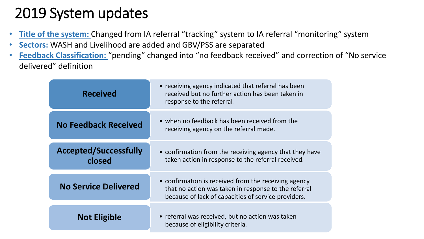# 2019 System updates

- **Title of the system:** Changed from IA referral "tracking" system to IA referral "monitoring" system
- **Sectors:** WASH and Livelihood are added and GBV/PSS are separated
- **Feedback Classification:** "pending" changed into "no feedback received" and correction of "No service delivered" definition

| <b>Received</b>                        | • receiving agency indicated that referral has been<br>received but no further action has been taken in<br>response to the referral.                                |  |  |
|----------------------------------------|---------------------------------------------------------------------------------------------------------------------------------------------------------------------|--|--|
| <b>No Feedback Received</b>            | • when no feedback has been received from the<br>receiving agency on the referral made.                                                                             |  |  |
| <b>Accepted/Successfully</b><br>closed | • confirmation from the receiving agency that they have<br>taken action in response to the referral received.                                                       |  |  |
| <b>No Service Delivered</b>            | • confirmation is received from the receiving agency<br>that no action was taken in response to the referral<br>because of lack of capacities of service providers. |  |  |
| <b>Not Eligible</b>                    | • referral was received, but no action was taken<br>because of eligibility criteria.                                                                                |  |  |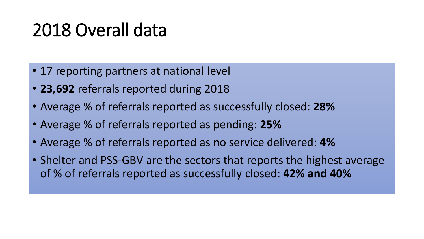# 2018 Overall data

- 17 reporting partners at national level
- **23,692** referrals reported during 2018
- Average % of referrals reported as successfully closed: **28%**
- Average % of referrals reported as pending: **25%**
- Average % of referrals reported as no service delivered: **4%**
- Shelter and PSS-GBV are the sectors that reports the highest average of % of referrals reported as successfully closed: **42% and 40%**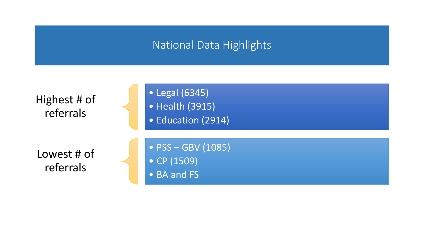### National Data Highlights

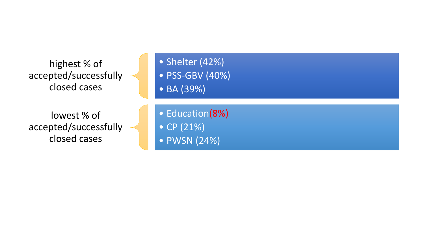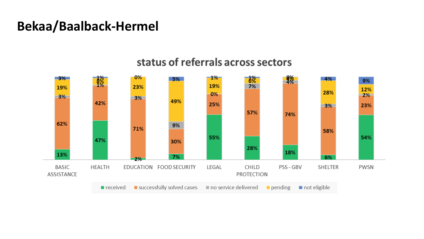## **Bekaa/Baalback-Hermel**

#### $0%$  $-1\%$  $\frac{9\%}{4\%}$  $\frac{1}{2}$  $rac{1}{6}$  $3%$ 5% 4% 9% 19%  $7%$ 23% 19% 12% 28% 0%  $2%$  $3%$  $3%$ 49% 42% 25%  $3%$ 23% 57% 74% 62% 9% 71% 58% 55% 54% 47% 30% 28% 18% 13% 7% 6% 2% **BASIC HEALTH** EDUCATION FOOD SECURITY LEGAL CHILD PSS - GBV SHELTER PWSN ASSISTANCE PROTECTION successfully solved cases  $\blacksquare$  no service delivered  $\blacksquare$  pending  $\blacksquare$  not eligible  $\blacksquare$  received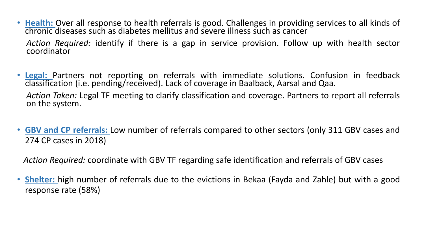- **Health:** Over all response to health referrals is good. Challenges in providing services to all kinds of chronic diseases such as diabetes mellitus and severe illness such as cancer *Action Required:* identify if there is a gap in service provision. Follow up with health sector coordinator
- **Legal:** Partners not reporting on referrals with immediate solutions. Confusion in feedback classification (i.e. pending/received). Lack of coverage in Baalback, Aarsal and Qaa.

*Action Taken:* Legal TF meeting to clarify classification and coverage. Partners to report all referrals on the system.

• **GBV and CP referrals:** Low number of referrals compared to other sectors (only 311 GBV cases and 274 CP cases in 2018)

*Action Required:* coordinate with GBV TF regarding safe identification and referrals of GBV cases

• **Shelter:** high number of referrals due to the evictions in Bekaa (Fayda and Zahle) but with a good response rate (58%)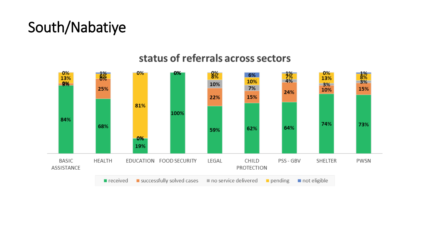# South/Nabatiye

#### $0%$  $8%$  $0%$  $0%$  $\frac{1}{2}$ 0%  $\frac{1}{2}$  $\frac{1\%}{8\%}$ <br>3% 6% 13% 13% 10% 10% 9%  $3%$ 25% 7% 15% 10% 24% 15% 22% 81% 100% 84% 74% 73% 68% 62% 64% 59% 0% 19% **BASIC HEALTH** EDUCATION FOOD SECURITY LEGAL CHILD PSS - GBV **SHELTER** PWSN ASSISTANCE PROTECTION successfully solved cases  $\blacksquare$  no service delivered  $\blacksquare$  received  $\blacksquare$  pending not eligible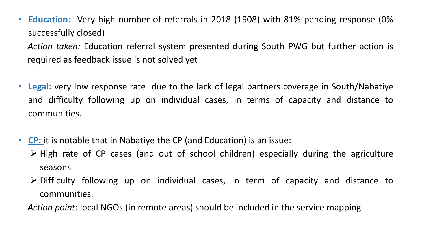• **Education:** Very high number of referrals in 2018 (1908) with 81% pending response (0% successfully closed)

*Action taken:* Education referral system presented during South PWG but further action is required as feedback issue is not solved yet

- **Legal:** very low response rate due to the lack of legal partners coverage in South/Nabatiye and difficulty following up on individual cases, in terms of capacity and distance to communities.
- **CP:** it is notable that in Nabatiye the CP (and Education) is an issue:
	- $\triangleright$  High rate of CP cases (and out of school children) especially during the agriculture seasons
	- Difficulty following up on individual cases, in term of capacity and distance to communities.

*Action point*: local NGOs (in remote areas) should be included in the service mapping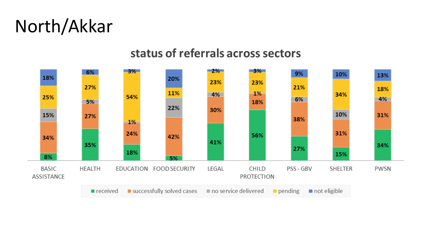# North/Akkar

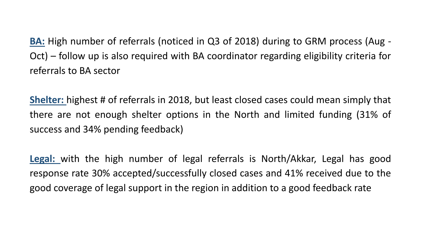**BA:** High number of referrals (noticed in Q3 of 2018) during to GRM process (Aug - Oct) – follow up is also required with BA coordinator regarding eligibility criteria for referrals to BA sector

**Shelter:** highest # of referrals in 2018, but least closed cases could mean simply that there are not enough shelter options in the North and limited funding (31% of success and 34% pending feedback)

**Legal:** with the high number of legal referrals is North/Akkar, Legal has good response rate 30% accepted/successfully closed cases and 41% received due to the good coverage of legal support in the region in addition to a good feedback rate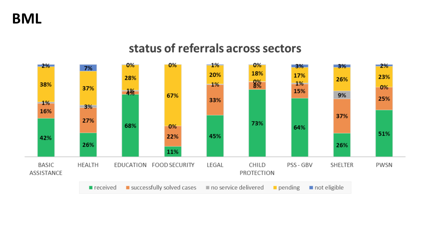**BML**

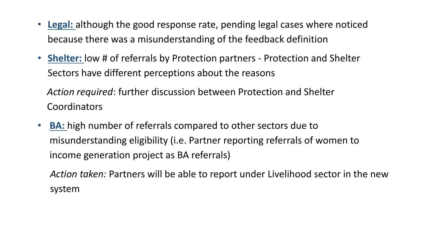- **Legal:** although the good response rate, pending legal cases where noticed because there was a misunderstanding of the feedback definition
- **Shelter:** low # of referrals by Protection partners Protection and Shelter Sectors have different perceptions about the reasons

*Action required*: further discussion between Protection and Shelter **Coordinators** 

• **BA:** high number of referrals compared to other sectors due to misunderstanding eligibility (i.e. Partner reporting referrals of women to income generation project as BA referrals)

*Action taken:* Partners will be able to report under Livelihood sector in the new system